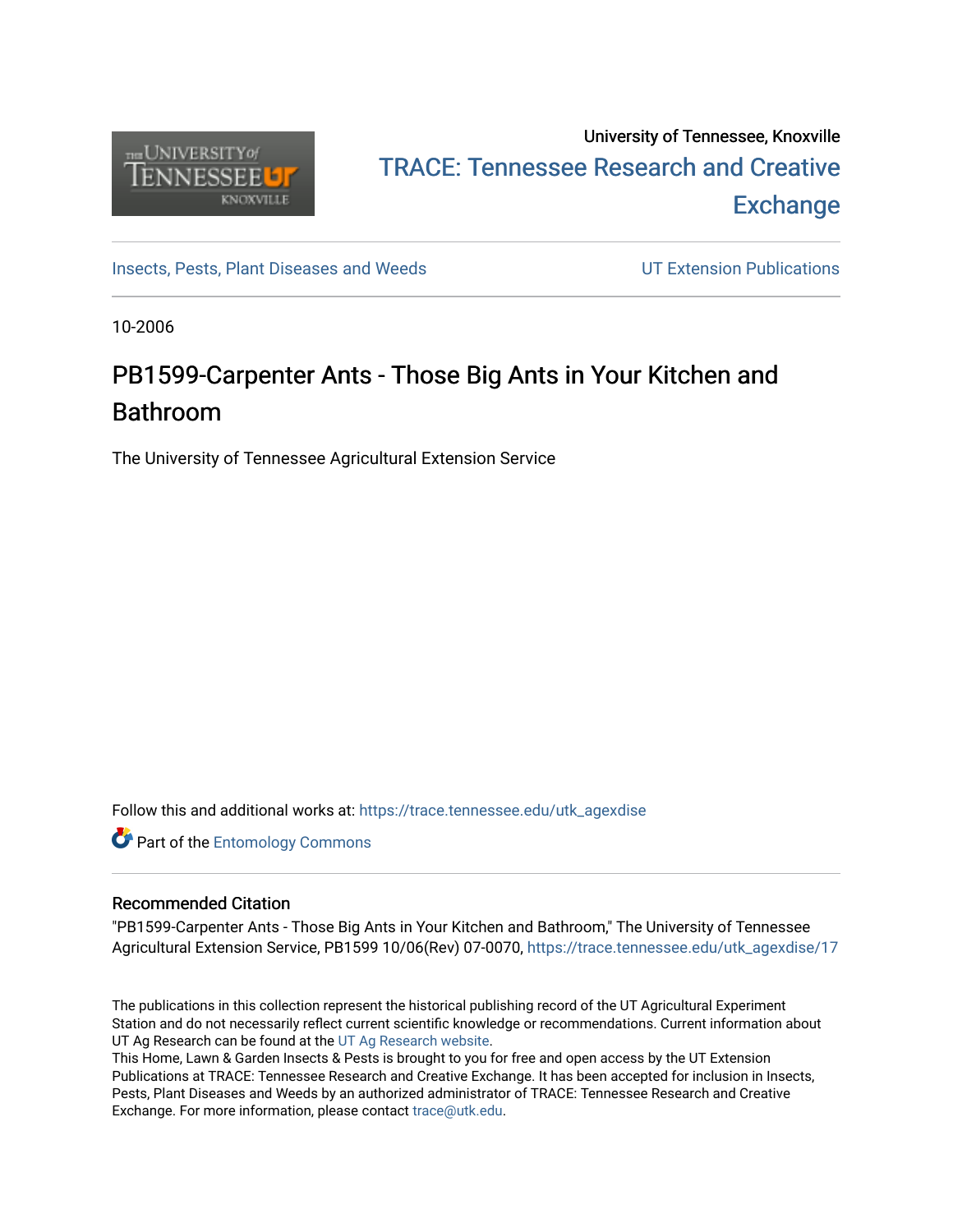

### University of Tennessee, Knoxville TRACE: T[ennessee Research and Cr](https://trace.tennessee.edu/)eative **Exchange**

[Insects, Pests, Plant Diseases and Weeds](https://trace.tennessee.edu/utk_agexdise) UT Extension Publications

10-2006

## PB1599-Carpenter Ants - Those Big Ants in Your Kitchen and Bathroom

The University of Tennessee Agricultural Extension Service

Follow this and additional works at: [https://trace.tennessee.edu/utk\\_agexdise](https://trace.tennessee.edu/utk_agexdise?utm_source=trace.tennessee.edu%2Futk_agexdise%2F17&utm_medium=PDF&utm_campaign=PDFCoverPages)

**Part of the Entomology Commons** 

#### Recommended Citation

"PB1599-Carpenter Ants - Those Big Ants in Your Kitchen and Bathroom," The University of Tennessee Agricultural Extension Service, PB1599 10/06(Rev) 07-0070, [https://trace.tennessee.edu/utk\\_agexdise/17](https://trace.tennessee.edu/utk_agexdise/17) 

The publications in this collection represent the historical publishing record of the UT Agricultural Experiment Station and do not necessarily reflect current scientific knowledge or recommendations. Current information about UT Ag Research can be found at the [UT Ag Research website.](http://agresearch.tennessee.edu/)

This Home, Lawn & Garden Insects & Pests is brought to you for free and open access by the UT Extension Publications at TRACE: Tennessee Research and Creative Exchange. It has been accepted for inclusion in Insects, Pests, Plant Diseases and Weeds by an authorized administrator of TRACE: Tennessee Research and Creative Exchange. For more information, please contact [trace@utk.edu](mailto:trace@utk.edu).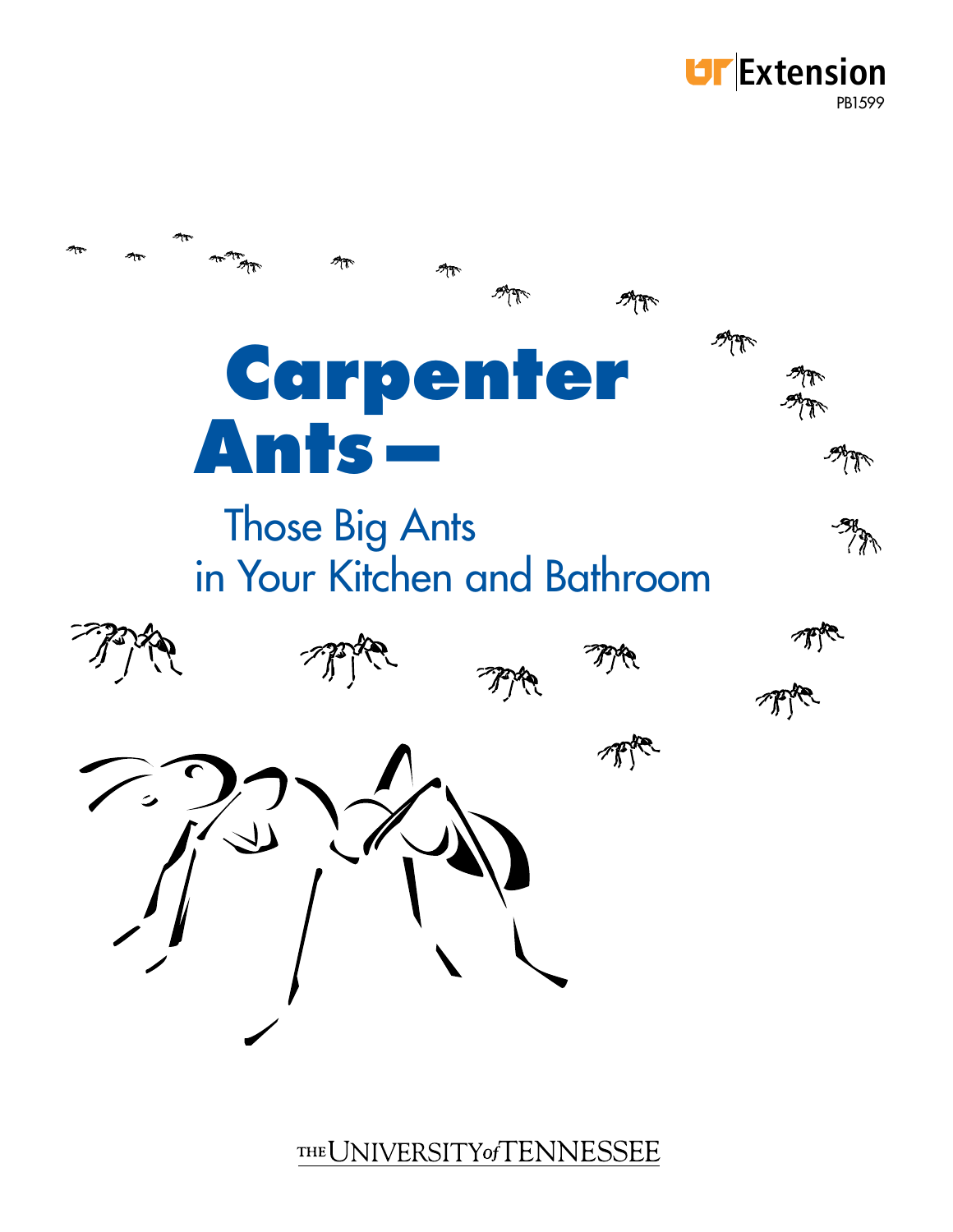



THE UNIVERSITY of TENNESSEE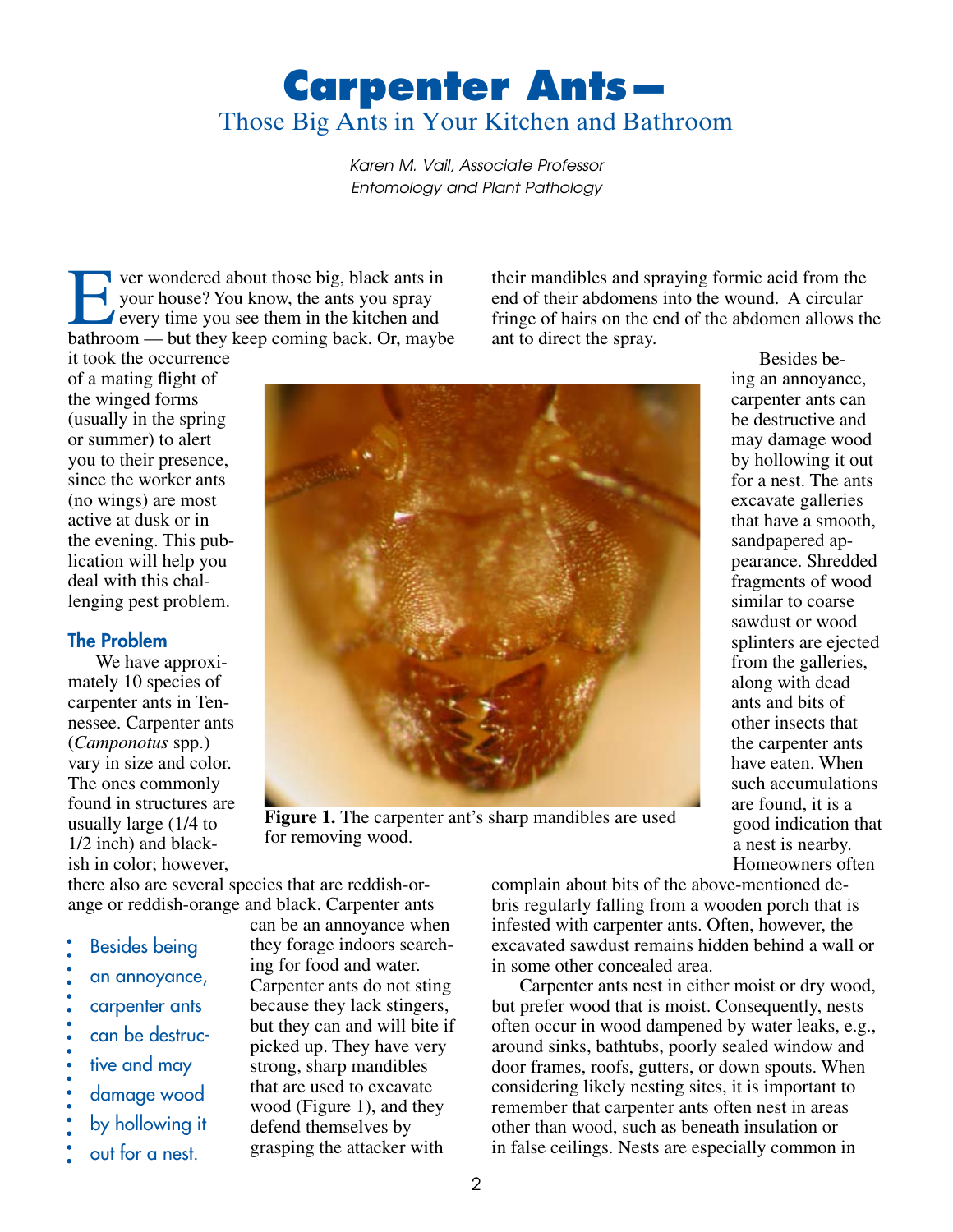# **Carpenter Ants—** Those Big Ants in Your Kitchen and Bathroom

*Karen M. Vail, Associate Professor Entomology and Plant Pathology*

For wondered about those big, black ants in<br>
your house? You know, the ants you spray<br>
every time you see them in the kitchen and<br>
hathroom but they keep coming back. Or maybe your house? You know, the ants you spray bathroom — but they keep coming back. Or, maybe

their mandibles and spraying formic acid from the end of their abdomens into the wound. A circular fringe of hairs on the end of the abdomen allows the ant to direct the spray.

it took the occurrence of a mating flight of the winged forms (usually in the spring or summer) to alert you to their presence, since the worker ants (no wings) are most active at dusk or in the evening. This publication will help you deal with this challenging pest problem.

### The Problem

We have approximately 10 species of carpenter ants in Tennessee. Carpenter ants (*Camponotus* spp.) vary in size and color. The ones commonly found in structures are usually large (1/4 to 1/2 inch) and blackish in color; however,



**Figure 1.** The carpenter ant's sharp mandibles are used for removing wood.

Besides being an annoyance, carpenter ants can be destructive and may damage wood by hollowing it out for a nest. The ants excavate galleries that have a smooth, sandpapered appearance. Shredded fragments of wood similar to coarse sawdust or wood splinters are ejected from the galleries, along with dead ants and bits of other insects that the carpenter ants have eaten. When such accumulations are found, it is a good indication that a nest is nearby. Homeowners often

there also are several species that are reddish-orange or reddish-orange and black. Carpenter ants

- Besides being
- an annoyance,
- carpenter ants
- can be destruc-
- tive and may
- damage wood
- by hollowing it
- out for a nest.

can be an annoyance when they forage indoors searching for food and water. Carpenter ants do not sting because they lack stingers, but they can and will bite if picked up. They have very strong, sharp mandibles that are used to excavate wood (Figure 1), and they defend themselves by grasping the attacker with

complain about bits of the above-mentioned debris regularly falling from a wooden porch that is infested with carpenter ants. Often, however, the excavated sawdust remains hidden behind a wall or in some other concealed area.

Carpenter ants nest in either moist or dry wood, but prefer wood that is moist. Consequently, nests often occur in wood dampened by water leaks, e.g., around sinks, bathtubs, poorly sealed window and door frames, roofs, gutters, or down spouts. When considering likely nesting sites, it is important to remember that carpenter ants often nest in areas other than wood, such as beneath insulation or in false ceilings. Nests are especially common in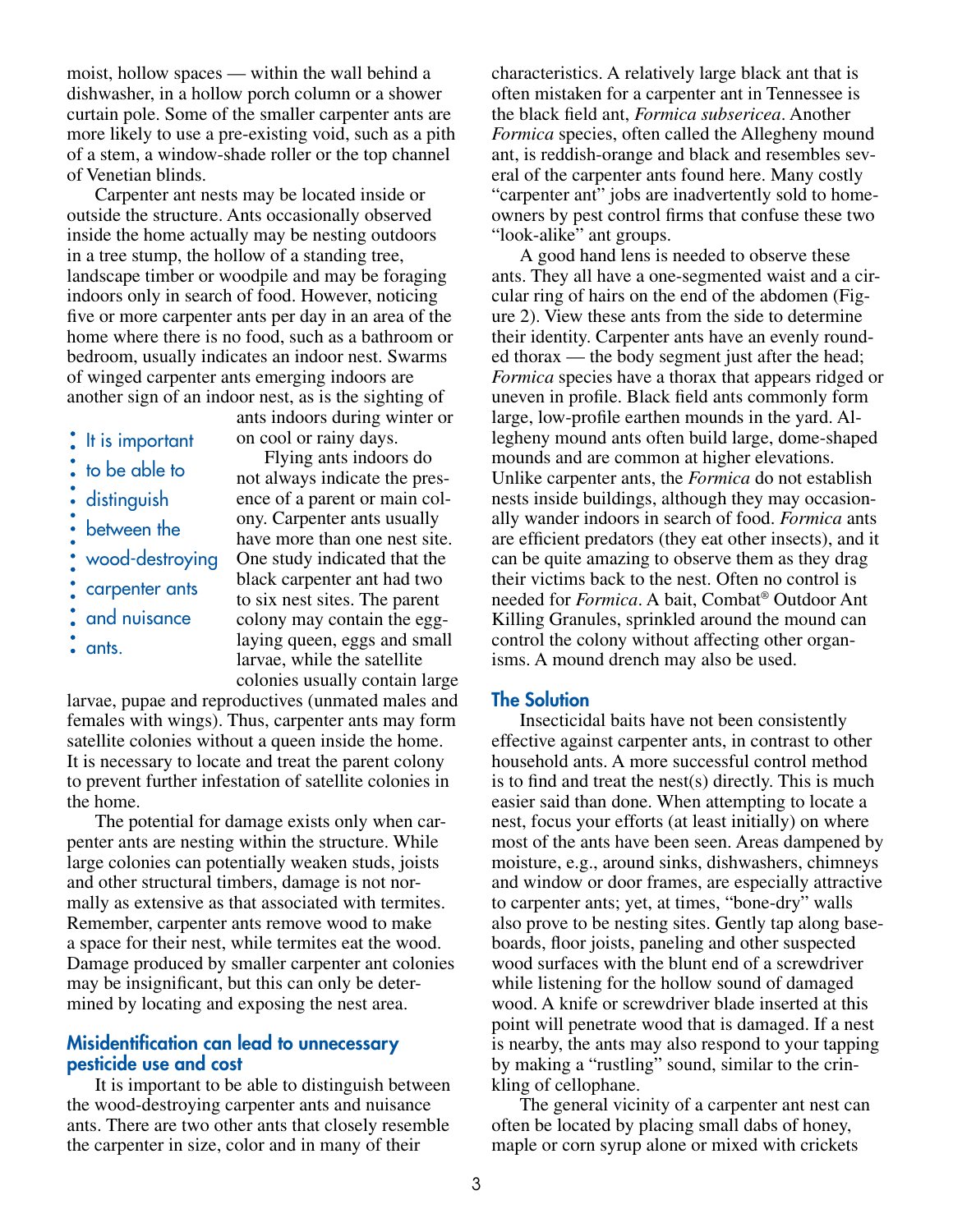moist, hollow spaces — within the wall behind a dishwasher, in a hollow porch column or a shower curtain pole. Some of the smaller carpenter ants are more likely to use a pre-existing void, such as a pith of a stem, a window-shade roller or the top channel of Venetian blinds.

Carpenter ant nests may be located inside or outside the structure. Ants occasionally observed inside the home actually may be nesting outdoors in a tree stump, the hollow of a standing tree, landscape timber or woodpile and may be foraging indoors only in search of food. However, noticing five or more carpenter ants per day in an area of the home where there is no food, such as a bathroom or bedroom, usually indicates an indoor nest. Swarms of winged carpenter ants emerging indoors are another sign of an indoor nest, as is the sighting of

- $:$  It is important to be able to distinguish
- between the
- wood-destroying
- carpenter ants
- and nuisance
- ants.

ants indoors during winter or on cool or rainy days.

Flying ants indoors do not always indicate the presence of a parent or main colony. Carpenter ants usually have more than one nest site. One study indicated that the black carpenter ant had two to six nest sites. The parent colony may contain the egglaying queen, eggs and small larvae, while the satellite colonies usually contain large

larvae, pupae and reproductives (unmated males and females with wings). Thus, carpenter ants may form satellite colonies without a queen inside the home. It is necessary to locate and treat the parent colony to prevent further infestation of satellite colonies in the home.

The potential for damage exists only when carpenter ants are nesting within the structure. While large colonies can potentially weaken studs, joists and other structural timbers, damage is not normally as extensive as that associated with termites. Remember, carpenter ants remove wood to make a space for their nest, while termites eat the wood. Damage produced by smaller carpenter ant colonies may be insignificant, but this can only be determined by locating and exposing the nest area.

#### Misidentification can lead to unnecessary pesticide use and cost

It is important to be able to distinguish between the wood-destroying carpenter ants and nuisance ants. There are two other ants that closely resemble the carpenter in size, color and in many of their

characteristics. A relatively large black ant that is often mistaken for a carpenter ant in Tennessee is the black field ant, *Formica subsericea*. Another *Formica* species, often called the Allegheny mound ant, is reddish-orange and black and resembles several of the carpenter ants found here. Many costly "carpenter ant" jobs are inadvertently sold to homeowners by pest control firms that confuse these two "look-alike" ant groups.

A good hand lens is needed to observe these ants. They all have a one-segmented waist and a circular ring of hairs on the end of the abdomen (Figure 2). View these ants from the side to determine their identity. Carpenter ants have an evenly rounded thorax — the body segment just after the head; *Formica* species have a thorax that appears ridged or uneven in profile. Black field ants commonly form large, low-profile earthen mounds in the yard. Allegheny mound ants often build large, dome-shaped mounds and are common at higher elevations. Unlike carpenter ants, the *Formica* do not establish nests inside buildings, although they may occasionally wander indoors in search of food. *Formica* ants are efficient predators (they eat other insects), and it can be quite amazing to observe them as they drag their victims back to the nest. Often no control is needed for *Formica*. A bait, Combat® Outdoor Ant Killing Granules, sprinkled around the mound can control the colony without affecting other organisms. A mound drench may also be used.

#### The Solution

Insecticidal baits have not been consistently effective against carpenter ants, in contrast to other household ants. A more successful control method is to find and treat the nest(s) directly. This is much easier said than done. When attempting to locate a nest, focus your efforts (at least initially) on where most of the ants have been seen. Areas dampened by moisture, e.g., around sinks, dishwashers, chimneys and window or door frames, are especially attractive to carpenter ants; yet, at times, "bone-dry" walls also prove to be nesting sites. Gently tap along baseboards, floor joists, paneling and other suspected wood surfaces with the blunt end of a screwdriver while listening for the hollow sound of damaged wood. A knife or screwdriver blade inserted at this point will penetrate wood that is damaged. If a nest is nearby, the ants may also respond to your tapping by making a "rustling" sound, similar to the crinkling of cellophane.

The general vicinity of a carpenter ant nest can often be located by placing small dabs of honey, maple or corn syrup alone or mixed with crickets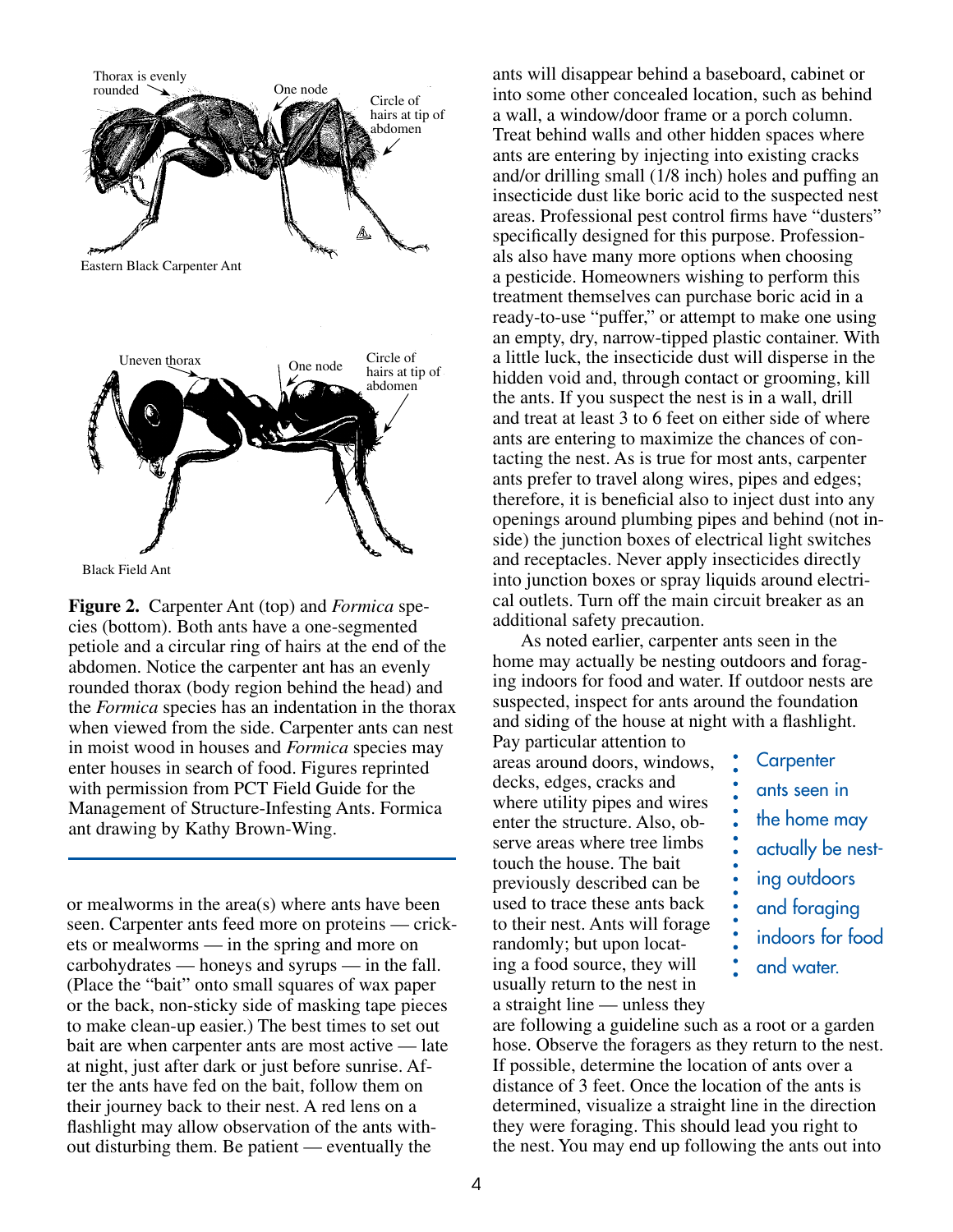

Black Field Ant

**Figure 2.** Carpenter Ant (top) and *Formica* species (bottom). Both ants have a one-segmented petiole and a circular ring of hairs at the end of the abdomen. Notice the carpenter ant has an evenly rounded thorax (body region behind the head) and the *Formica* species has an indentation in the thorax when viewed from the side. Carpenter ants can nest in moist wood in houses and *Formica* species may enter houses in search of food. Figures reprinted with permission from PCT Field Guide for the Management of Structure-Infesting Ants. Formica ant drawing by Kathy Brown-Wing.

or mealworms in the area(s) where ants have been seen. Carpenter ants feed more on proteins — crickets or mealworms — in the spring and more on carbohydrates — honeys and syrups — in the fall. (Place the "bait" onto small squares of wax paper or the back, non-sticky side of masking tape pieces to make clean-up easier.) The best times to set out bait are when carpenter ants are most active — late at night, just after dark or just before sunrise. After the ants have fed on the bait, follow them on their journey back to their nest. A red lens on a flashlight may allow observation of the ants without disturbing them. Be patient — eventually the

ants will disappear behind a baseboard, cabinet or into some other concealed location, such as behind a wall, a window/door frame or a porch column. Treat behind walls and other hidden spaces where ants are entering by injecting into existing cracks and/or drilling small (1/8 inch) holes and puffing an insecticide dust like boric acid to the suspected nest areas. Professional pest control firms have "dusters" specifically designed for this purpose. Professionals also have many more options when choosing a pesticide. Homeowners wishing to perform this treatment themselves can purchase boric acid in a ready-to-use "puffer," or attempt to make one using an empty, dry, narrow-tipped plastic container. With a little luck, the insecticide dust will disperse in the hidden void and, through contact or grooming, kill the ants. If you suspect the nest is in a wall, drill and treat at least 3 to 6 feet on either side of where ants are entering to maximize the chances of contacting the nest. As is true for most ants, carpenter ants prefer to travel along wires, pipes and edges; therefore, it is beneficial also to inject dust into any openings around plumbing pipes and behind (not inside) the junction boxes of electrical light switches and receptacles. Never apply insecticides directly into junction boxes or spray liquids around electrical outlets. Turn off the main circuit breaker as an additional safety precaution.

As noted earlier, carpenter ants seen in the home may actually be nesting outdoors and foraging indoors for food and water. If outdoor nests are suspected, inspect for ants around the foundation and siding of the house at night with a flashlight.

Pay particular attention to areas around doors, windows, decks, edges, cracks and where utility pipes and wires enter the structure. Also, observe areas where tree limbs touch the house. The bait previously described can be used to trace these ants back to their nest. Ants will forage randomly; but upon locating a food source, they will usually return to the nest in a straight line — unless they

**Carpenter** ants seen in the home may actually be nesting outdoors and foraging indoors for food and water.

are following a guideline such as a root or a garden hose. Observe the foragers as they return to the nest. If possible, determine the location of ants over a distance of 3 feet. Once the location of the ants is determined, visualize a straight line in the direction they were foraging. This should lead you right to the nest. You may end up following the ants out into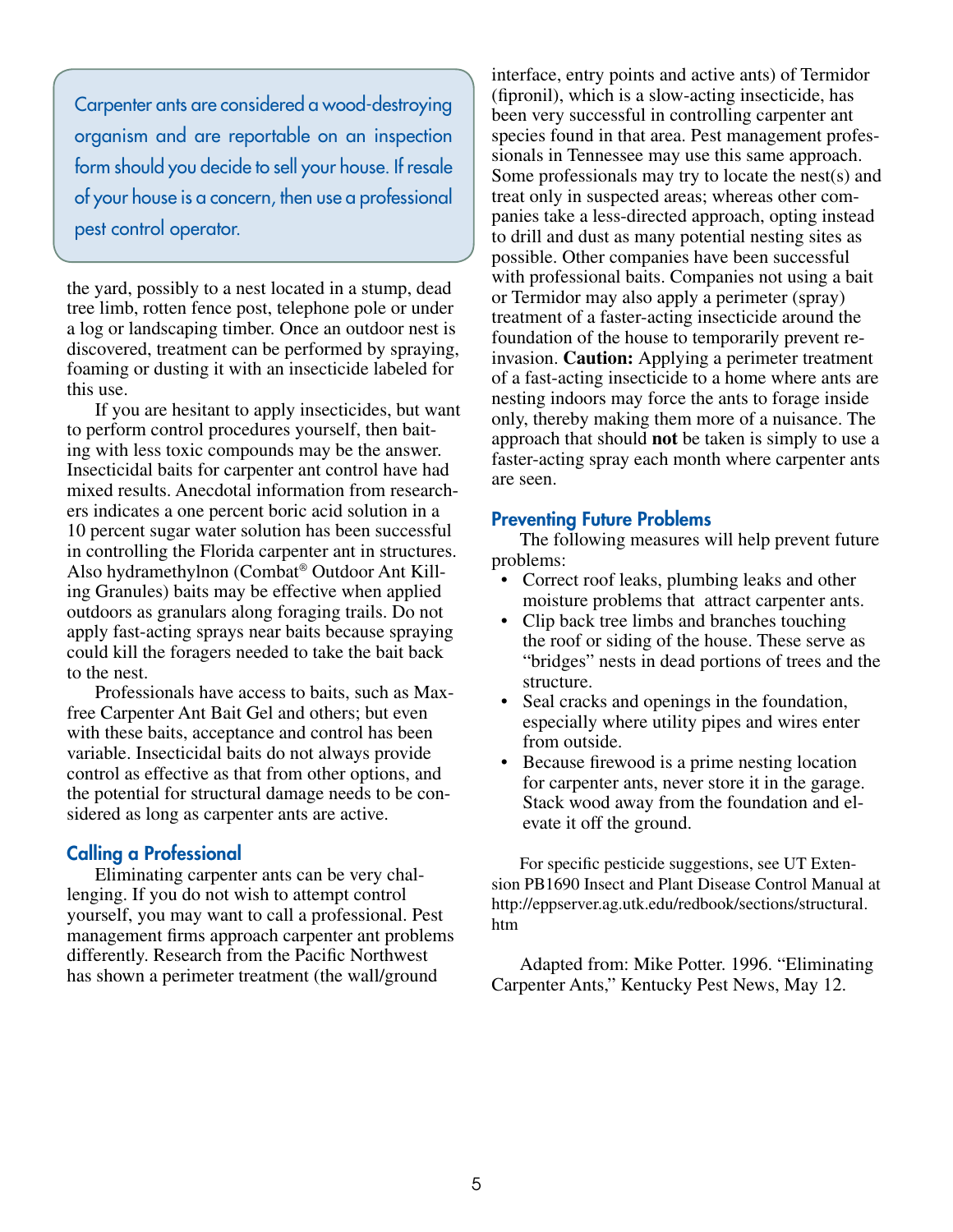Carpenter ants are considered a wood-destroying organism and are reportable on an inspection form should you decide to sell your house. If resale of your house is a concern, then use a professional pest control operator.

the yard, possibly to a nest located in a stump, dead tree limb, rotten fence post, telephone pole or under a log or landscaping timber. Once an outdoor nest is discovered, treatment can be performed by spraying, foaming or dusting it with an insecticide labeled for this use.

If you are hesitant to apply insecticides, but want to perform control procedures yourself, then baiting with less toxic compounds may be the answer. Insecticidal baits for carpenter ant control have had mixed results. Anecdotal information from researchers indicates a one percent boric acid solution in a 10 percent sugar water solution has been successful in controlling the Florida carpenter ant in structures. Also hydramethylnon (Combat® Outdoor Ant Killing Granules) baits may be effective when applied outdoors as granulars along foraging trails. Do not apply fast-acting sprays near baits because spraying could kill the foragers needed to take the bait back to the nest.

Professionals have access to baits, such as Maxfree Carpenter Ant Bait Gel and others; but even with these baits, acceptance and control has been variable. Insecticidal baits do not always provide control as effective as that from other options, and the potential for structural damage needs to be considered as long as carpenter ants are active.

#### Calling a Professional

Eliminating carpenter ants can be very challenging. If you do not wish to attempt control yourself, you may want to call a professional. Pest management firms approach carpenter ant problems differently. Research from the Pacific Northwest has shown a perimeter treatment (the wall/ground

interface, entry points and active ants) of Termidor (fipronil), which is a slow-acting insecticide, has been very successful in controlling carpenter ant species found in that area. Pest management professionals in Tennessee may use this same approach. Some professionals may try to locate the nest(s) and treat only in suspected areas; whereas other companies take a less-directed approach, opting instead to drill and dust as many potential nesting sites as possible. Other companies have been successful with professional baits. Companies not using a bait or Termidor may also apply a perimeter (spray) treatment of a faster-acting insecticide around the foundation of the house to temporarily prevent reinvasion. **Caution:** Applying a perimeter treatment of a fast-acting insecticide to a home where ants are nesting indoors may force the ants to forage inside only, thereby making them more of a nuisance. The approach that should **not** be taken is simply to use a faster-acting spray each month where carpenter ants are seen.

#### Preventing Future Problems

The following measures will help prevent future problems:

- Correct roof leaks, plumbing leaks and other moisture problems that attract carpenter ants.
- Clip back tree limbs and branches touching the roof or siding of the house. These serve as "bridges" nests in dead portions of trees and the structure.
- Seal cracks and openings in the foundation, especially where utility pipes and wires enter from outside.
- Because firewood is a prime nesting location for carpenter ants, never store it in the garage. Stack wood away from the foundation and elevate it off the ground.

For specific pesticide suggestions, see UT Extension PB1690 Insect and Plant Disease Control Manual at http://eppserver.ag.utk.edu/redbook/sections/structural. htm

Adapted from: Mike Potter. 1996. "Eliminating Carpenter Ants," Kentucky Pest News, May 12.